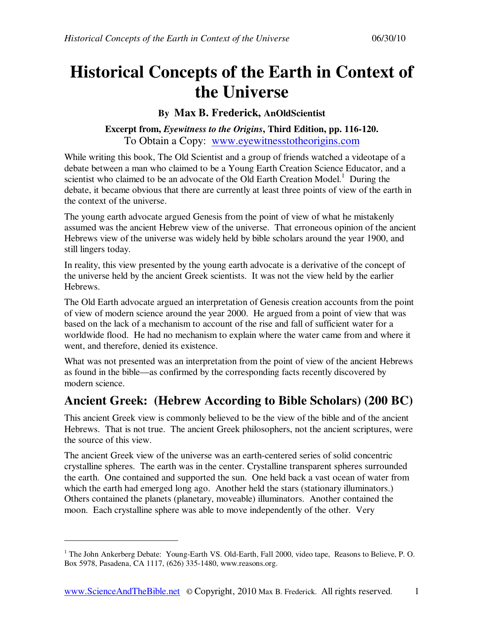# **Historical Concepts of the Earth in Context of the Universe**

#### **By Max B. Frederick, AnOldScientist**

#### **Excerpt from,** *Eyewitness to the Origins***, Third Edition, pp. 116-120.**  To Obtain a Copy: www.eyewitnesstotheorigins.com

While writing this book, The Old Scientist and a group of friends watched a videotape of a debate between a man who claimed to be a Young Earth Creation Science Educator, and a scientist who claimed to be an advocate of the Old Earth Creation Model.<sup>1</sup> During the debate, it became obvious that there are currently at least three points of view of the earth in the context of the universe.

The young earth advocate argued Genesis from the point of view of what he mistakenly assumed was the ancient Hebrew view of the universe. That erroneous opinion of the ancient Hebrews view of the universe was widely held by bible scholars around the year 1900, and still lingers today.

In reality, this view presented by the young earth advocate is a derivative of the concept of the universe held by the ancient Greek scientists. It was not the view held by the earlier Hebrews.

The Old Earth advocate argued an interpretation of Genesis creation accounts from the point of view of modern science around the year 2000. He argued from a point of view that was based on the lack of a mechanism to account of the rise and fall of sufficient water for a worldwide flood. He had no mechanism to explain where the water came from and where it went, and therefore, denied its existence.

What was not presented was an interpretation from the point of view of the ancient Hebrews as found in the bible—as confirmed by the corresponding facts recently discovered by modern science.

### **Ancient Greek: (Hebrew According to Bible Scholars) (200 BC)**

This ancient Greek view is commonly believed to be the view of the bible and of the ancient Hebrews. That is not true. The ancient Greek philosophers, not the ancient scriptures, were the source of this view.

The ancient Greek view of the universe was an earth-centered series of solid concentric crystalline spheres. The earth was in the center. Crystalline transparent spheres surrounded the earth. One contained and supported the sun. One held back a vast ocean of water from which the earth had emerged long ago. Another held the stars (stationary illuminators.) Others contained the planets (planetary, moveable) illuminators. Another contained the moon. Each crystalline sphere was able to move independently of the other. Very

-

<sup>&</sup>lt;sup>1</sup> The John Ankerberg Debate: Young-Earth VS. Old-Earth, Fall 2000, video tape, Reasons to Believe, P. O. Box 5978, Pasadena, CA 1117, (626) 335-1480, www.reasons.org.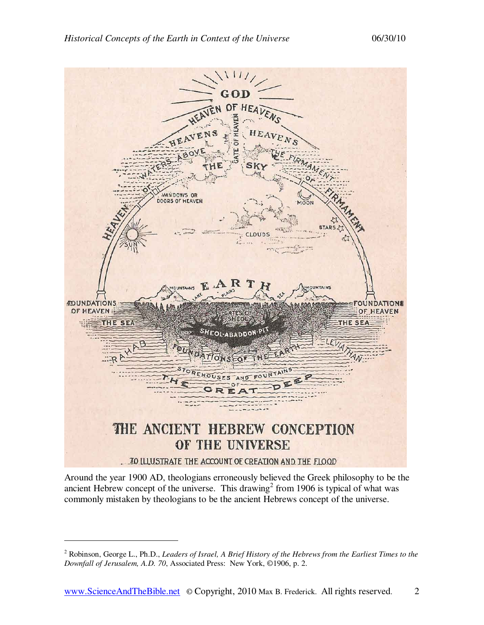

Around the year 1900 AD, theologians erroneously believed the Greek philosophy to be the ancient Hebrew concept of the universe. This drawing<sup>2</sup> from 1906 is typical of what was commonly mistaken by theologians to be the ancient Hebrews concept of the universe.

-

<sup>&</sup>lt;sup>2</sup> Robinson, George L., Ph.D., *Leaders of Israel, A Brief History of the Hebrews from the Earliest Times to the Downfall of Jerusalem, A.D. 70*, Associated Press: New York, ©1906, p. 2.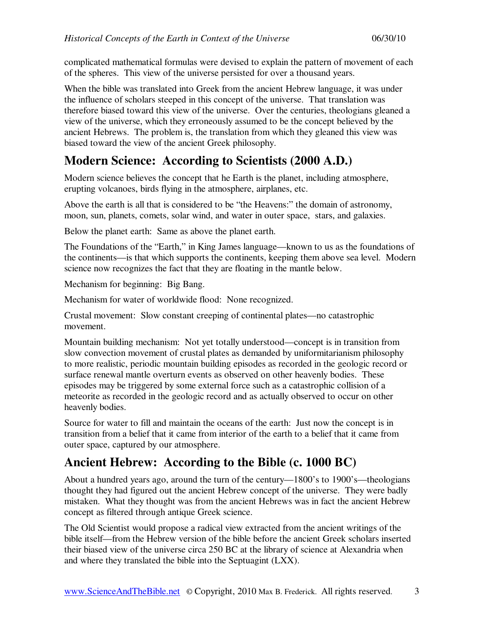complicated mathematical formulas were devised to explain the pattern of movement of each of the spheres. This view of the universe persisted for over a thousand years.

When the bible was translated into Greek from the ancient Hebrew language, it was under the influence of scholars steeped in this concept of the universe. That translation was therefore biased toward this view of the universe. Over the centuries, theologians gleaned a view of the universe, which they erroneously assumed to be the concept believed by the ancient Hebrews. The problem is, the translation from which they gleaned this view was biased toward the view of the ancient Greek philosophy.

## **Modern Science: According to Scientists (2000 A.D.)**

Modern science believes the concept that he Earth is the planet, including atmosphere, erupting volcanoes, birds flying in the atmosphere, airplanes, etc.

Above the earth is all that is considered to be "the Heavens:" the domain of astronomy, moon, sun, planets, comets, solar wind, and water in outer space, stars, and galaxies.

Below the planet earth: Same as above the planet earth.

The Foundations of the "Earth," in King James language—known to us as the foundations of the continents—is that which supports the continents, keeping them above sea level. Modern science now recognizes the fact that they are floating in the mantle below.

Mechanism for beginning: Big Bang.

Mechanism for water of worldwide flood: None recognized.

Crustal movement: Slow constant creeping of continental plates—no catastrophic movement.

Mountain building mechanism: Not yet totally understood—concept is in transition from slow convection movement of crustal plates as demanded by uniformitarianism philosophy to more realistic, periodic mountain building episodes as recorded in the geologic record or surface renewal mantle overturn events as observed on other heavenly bodies. These episodes may be triggered by some external force such as a catastrophic collision of a meteorite as recorded in the geologic record and as actually observed to occur on other heavenly bodies.

Source for water to fill and maintain the oceans of the earth: Just now the concept is in transition from a belief that it came from interior of the earth to a belief that it came from outer space, captured by our atmosphere.

## **Ancient Hebrew: According to the Bible (c. 1000 BC)**

About a hundred years ago, around the turn of the century—1800's to 1900's—theologians thought they had figured out the ancient Hebrew concept of the universe. They were badly mistaken. What they thought was from the ancient Hebrews was in fact the ancient Hebrew concept as filtered through antique Greek science.

The Old Scientist would propose a radical view extracted from the ancient writings of the bible itself—from the Hebrew version of the bible before the ancient Greek scholars inserted their biased view of the universe circa 250 BC at the library of science at Alexandria when and where they translated the bible into the Septuagint (LXX).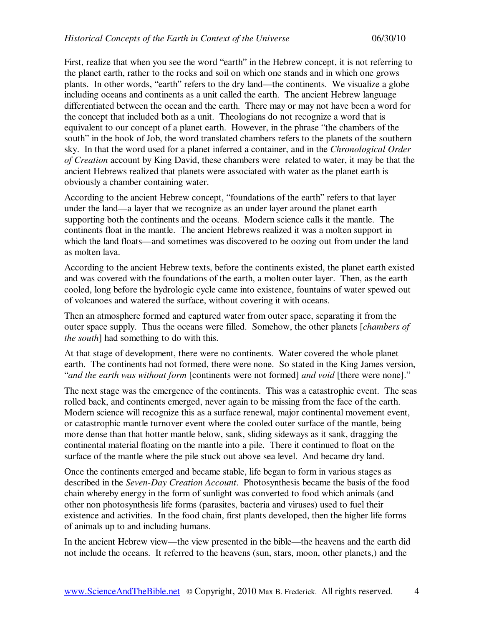First, realize that when you see the word "earth" in the Hebrew concept, it is not referring to the planet earth, rather to the rocks and soil on which one stands and in which one grows plants. In other words, "earth" refers to the dry land—the continents. We visualize a globe including oceans and continents as a unit called the earth. The ancient Hebrew language differentiated between the ocean and the earth. There may or may not have been a word for the concept that included both as a unit. Theologians do not recognize a word that is equivalent to our concept of a planet earth. However, in the phrase "the chambers of the south" in the book of Job, the word translated chambers refers to the planets of the southern sky. In that the word used for a planet inferred a container, and in the *Chronological Order of Creation* account by King David, these chambers were related to water, it may be that the ancient Hebrews realized that planets were associated with water as the planet earth is obviously a chamber containing water.

According to the ancient Hebrew concept, "foundations of the earth" refers to that layer under the land—a layer that we recognize as an under layer around the planet earth supporting both the continents and the oceans. Modern science calls it the mantle. The continents float in the mantle. The ancient Hebrews realized it was a molten support in which the land floats—and sometimes was discovered to be oozing out from under the land as molten lava.

According to the ancient Hebrew texts, before the continents existed, the planet earth existed and was covered with the foundations of the earth, a molten outer layer. Then, as the earth cooled, long before the hydrologic cycle came into existence, fountains of water spewed out of volcanoes and watered the surface, without covering it with oceans.

Then an atmosphere formed and captured water from outer space, separating it from the outer space supply. Thus the oceans were filled. Somehow, the other planets [*chambers of the south*] had something to do with this.

At that stage of development, there were no continents. Water covered the whole planet earth. The continents had not formed, there were none. So stated in the King James version, "*and the earth was without form* [continents were not formed] *and void* [there were none]."

The next stage was the emergence of the continents. This was a catastrophic event. The seas rolled back, and continents emerged, never again to be missing from the face of the earth. Modern science will recognize this as a surface renewal, major continental movement event, or catastrophic mantle turnover event where the cooled outer surface of the mantle, being more dense than that hotter mantle below, sank, sliding sideways as it sank, dragging the continental material floating on the mantle into a pile. There it continued to float on the surface of the mantle where the pile stuck out above sea level. And became dry land.

Once the continents emerged and became stable, life began to form in various stages as described in the *Seven-Day Creation Account*. Photosynthesis became the basis of the food chain whereby energy in the form of sunlight was converted to food which animals (and other non photosynthesis life forms (parasites, bacteria and viruses) used to fuel their existence and activities. In the food chain, first plants developed, then the higher life forms of animals up to and including humans.

In the ancient Hebrew view—the view presented in the bible—the heavens and the earth did not include the oceans. It referred to the heavens (sun, stars, moon, other planets,) and the